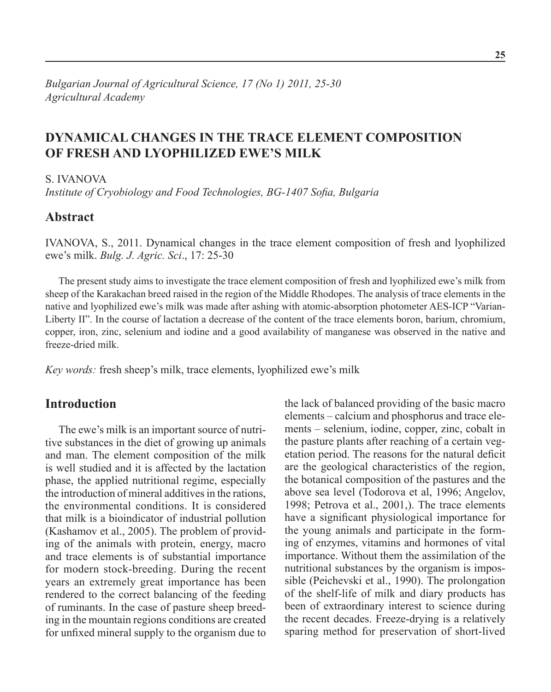# **Dynamical Changes in the Trace Element Composition of Fresh and Lyophilized Ewe's Milk**

S. IVANOVA

*Institute of Cryobiology and Food Technologies, BG-1407 Sofia, Bulgaria*

## **Abstract**

IVANOVA, S., 2011. Dynamical changes in the trace element composition of fresh and lyophilized ewe's milk. *Bulg. J. Agric. Sci*., 17: 25-30

The present study aims to investigate the trace element composition of fresh and lyophilized ewe's milk from sheep of the Karakachan breed raised in the region of the Middle Rhodopes. The analysis of trace elements in the native and lyophilized ewe's milk was made after ashing with atomic-absorption photometer AES-ICP "Varian-Liberty II". In the course of lactation a decrease of the content of the trace elements boron, barium, chromium, copper, iron, zinc, selenium and iodine and a good availability of manganese was observed in the native and freeze-dried milk.

*Key words:* fresh sheep's milk, trace elements, lyophilized ewe's milk

## **Introduction**

The ewe's milk is an important source of nutritive substances in the diet of growing up animals and man. The element composition of the milk is well studied and it is affected by the lactation phase, the applied nutritional regime, especially the introduction of mineral additives in the rations, the environmental conditions. It is considered that milk is a bioindicator of industrial pollution (Kashamov еt al., 2005). The problem of providing of the animals with protein, energy, macro and trace elements is of substantial importance for modern stock-breeding. During the recent years an extremely great importance has been rendered to the correct balancing of the feeding of ruminants. In the case of pasture sheep breeding in the mountain regions conditions are created for unfixed mineral supply to the organism due to

the lack of balanced providing of the basic macro elements – calcium and phosphorus and trace elements – selenium, iodine, copper, zinc, cobalt in the pasture plants after reaching of a certain vegetation period. The reasons for the natural deficit are the geological characteristics of the region, the botanical composition of the pastures and the above sea level (Todorova et al, 1996; Angelov, 1998; Petrova et al., 2001,). The trace elements have a significant physiological importance for the young animals and participate in the forming of enzymes, vitamins and hormones of vital importance. Without them the assimilation of the nutritional substances by the organism is impossible (Peichevski et al., 1990). The prolongation of the shelf-life of milk and diary products has been of extraordinary interest to science during the recent decades. Freeze-drying is a relatively sparing method for preservation of short-lived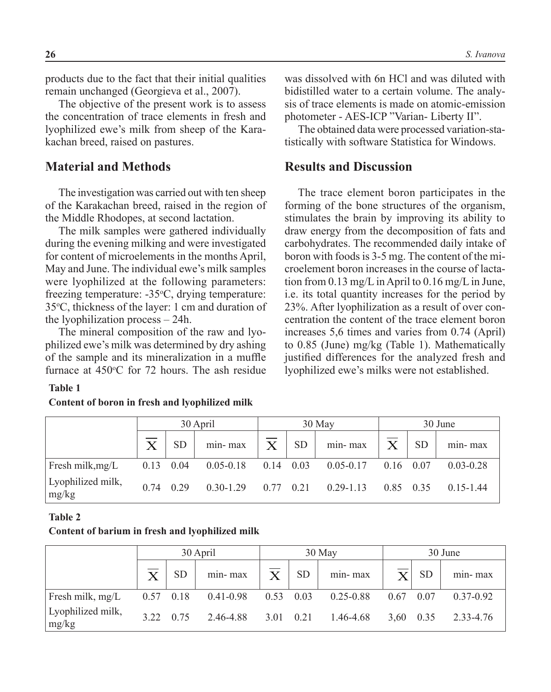products due to the fact that their initial qualities remain unchanged (Georgieva et al., 2007).

The objective of the present work is to assess the concentration of trace elements in fresh and lyophilized ewe's milk from sheep of the Karakachan breed, raised on pastures.

### **Material and Methods**

The investigation was carried out with ten sheep of the Karakachan breed, raised in the region of the Middle Rhodopes, at second lactation.

The milk samples were gathered individually during the evening milking and were investigated for content of microelements in the months April, May and June. The individual ewe's milk samples were lyophilized at the following parameters: freezing temperature: -35°C, drying temperature: 35°C, thickness of the layer: 1 cm and duration of the lyophilization process – 24h.

The mineral composition of the raw and lyophilized ewe's milk was determined by dry ashing of the sample and its mineralization in a muffle furnace at  $450^{\circ}$ C for 72 hours. The ash residue

#### **Table 1**

#### **Content of boron in fresh and lyophilized milk**

was dissolved with 6n HCl and was diluted with bidistilled water to a certain volume. The analysis of trace elements is made on atomic-emission photometer - AES-ICP "Varian- Liberty II".

The obtained data were processed variation-statistically with software Statistica for Windows.

### **Results and Discussion**

The trace element boron participates in the forming of the bone structures of the organism, stimulates the brain by improving its ability to draw energy from the decomposition of fats and carbohydrates. The recommended daily intake of boron with foods is 3-5 mg. The content of the microelement boron increases in the course of lactation from 0.13 mg/L in April to 0.16 mg/L in June, i.e. its total quantity increases for the period by 23%. After lyophilization as a result of over concentration the content of the trace element boron increases 5,6 times and varies from 0.74 (April) to 0.85 (June) mg/kg (Table 1). Mathematically justified differences for the analyzed fresh and lyophilized ewe's milks were not established.

|                            |                       |           | 30 April      |              |           | $30$ May      | 30 June   |           |               |  |
|----------------------------|-----------------------|-----------|---------------|--------------|-----------|---------------|-----------|-----------|---------------|--|
|                            | $\overline{\text{X}}$ | <b>SD</b> | min-max       | $\mathbf{X}$ | <b>SD</b> | min-max       | X         | <b>SD</b> | min-max       |  |
| Fresh milk, mg/L           | 0.13                  | 0.04      | $0.05 - 0.18$ | 0.14         | 0.03      | $0.05 - 0.17$ | 0.16      | 0.07      | $0.03 - 0.28$ |  |
| Lyophilized milk,<br>mg/kg | 0.74                  | 0.29      | $0.30 - 1.29$ | 0.77         | 0.21      | $0.29 - 1.13$ | 0.85 0.35 |           | $015-144$     |  |

#### **Table 2**

#### **Content of barium in fresh and lyophilized milk**

|                            |      |           | 30 April      |      |           | 30 May        | 30 June |           |               |  |
|----------------------------|------|-----------|---------------|------|-----------|---------------|---------|-----------|---------------|--|
|                            |      | <b>SD</b> | min-max       |      | <b>SD</b> | min-max       |         | <b>SD</b> | min-max       |  |
| Fresh milk, mg/L           | 0.57 | 0.18      | $0.41 - 0.98$ | 0.53 | 0.03      | $0.25 - 0.88$ | 0.67    | 0.07      | $0.37 - 0.92$ |  |
| Lyophilized milk,<br>mg/kg | 3.22 | 0.75      | 2.46-4.88     | 3.01 | 0.21      | 1.46-4.68     | 3.60    | 0.35      | 2.33-4.76     |  |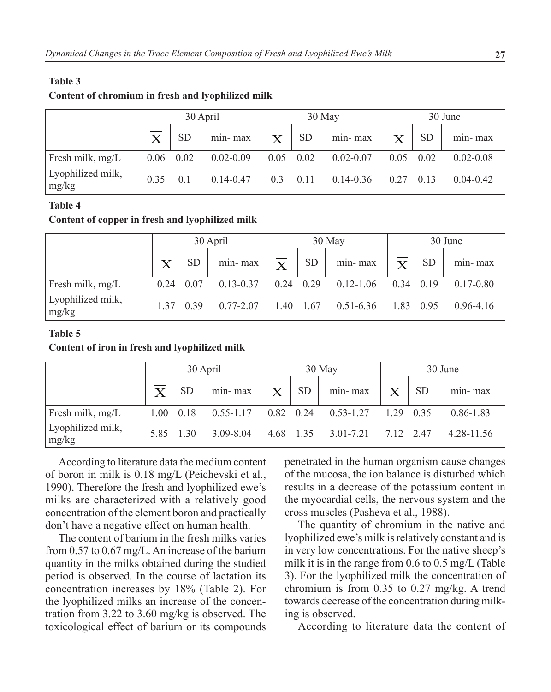#### **Table 3**

#### **Content of chromium in fresh and lyophilized milk**

|                            | 30 April                |                  |               |                   |           | $30$ May      | 30 June            |           |               |  |
|----------------------------|-------------------------|------------------|---------------|-------------------|-----------|---------------|--------------------|-----------|---------------|--|
|                            | $\overline{\mathrm{X}}$ | <b>SD</b>        | min-max       | $\overline{X}$    | <b>SD</b> | min-max       | $\bar{\mathbf{X}}$ | <b>SD</b> | min-max       |  |
| Fresh milk, mg/L           | $0.06$ 0.02             |                  | $0.02 - 0.09$ | $0.05 \quad 0.02$ |           | $0.02 - 0.07$ | 0.05               | 0.02      | $0.02 - 0.08$ |  |
| Lyophilized milk,<br>mg/kg | 0.35                    | $\overline{0}$ 1 | $0.14 - 0.47$ | 0.3               | 0.11      | $0.14 - 0.36$ | 0.27               | 0.13      | $0.04 - 0.42$ |  |

### **Table 4**

### **Content of copper in fresh and lyophilized milk**

|                            |                         |           | 30 April      |                         |           | 30 May        | 30 June                 |           |               |
|----------------------------|-------------------------|-----------|---------------|-------------------------|-----------|---------------|-------------------------|-----------|---------------|
|                            | $\overline{\mathsf{X}}$ | <b>SD</b> | min-max       | $\overline{\mathrm{x}}$ | <b>SD</b> | min-max       | $\overline{\mathbf{v}}$ | <b>SD</b> | min-max       |
| Fresh milk, mg/L           | 0.24                    | 0.07      | $0.13 - 0.37$ | $0.24$ 0.29             |           | $0.12 - 1.06$ | 0.34                    | 0.19      | $0.17 - 0.80$ |
| Lyophilized milk,<br>mg/kg | 1 37                    | 0.39      | $0.77 - 2.07$ | $1.40 \quad 1.67$       |           | $0.51 - 6.36$ | 1.83                    | 0.95      | $0.96 - 4.16$ |

### **Table 5**

#### **Content of iron in fresh and lyophilized milk**

|                            | 30 April              |           |               |                         |                   | 30 May        | 30 June   |           |               |  |
|----------------------------|-----------------------|-----------|---------------|-------------------------|-------------------|---------------|-----------|-----------|---------------|--|
|                            | $\overline{\text{X}}$ | <b>SD</b> | min-max       | $\overline{\mathrm{X}}$ | <b>SD</b>         | min-max       | X         | <b>SD</b> | min-max       |  |
| Fresh milk, mg/L           | 1.00                  | 0.18      | $0.55 - 1.17$ |                         | $0.82 \quad 0.24$ | $0.53 - 1.27$ |           | 1.29 0.35 | $0.86 - 1.83$ |  |
| Lyophilized milk,<br>mg/kg | 585                   | 1,30      | 3.09-8.04     |                         | 4.68 1.35         | $3.01 - 7.21$ | 7.12 2.47 |           | 4.28-11.56    |  |

According to literature data the medium content of boron in milk is 0.18 mg/L (Peichevski et al., 1990). Therefore the fresh and lyophilized ewe's milks are characterized with a relatively good concentration of the element boron and practically don't have a negative effect on human health.

The content of barium in the fresh milks varies from 0.57 to 0.67 mg/L. An increase of the barium quantity in the milks obtained during the studied period is observed. In the course of lactation its concentration increases by 18% (Table 2). For the lyophilized milks an increase of the concentration from 3.22 to 3.60 mg/kg is observed. The toxicological effect of barium or its compounds penetrated in the human organism cause changes of the mucosa, the ion balance is disturbed which results in a decrease of the potassium content in the myocardial cells, the nervous system and the cross muscles (Pasheva et al., 1988).

The quantity of chromium in the native and lyophilized ewe's milk is relatively constant and is in very low concentrations. For the native sheep's milk it is in the range from 0.6 to 0.5 mg/L (Table 3). For the lyophilized milk the concentration of chromium is from 0.35 to 0.27 mg/kg. A trend towards decrease of the concentration during milking is observed.

According to literature data the content of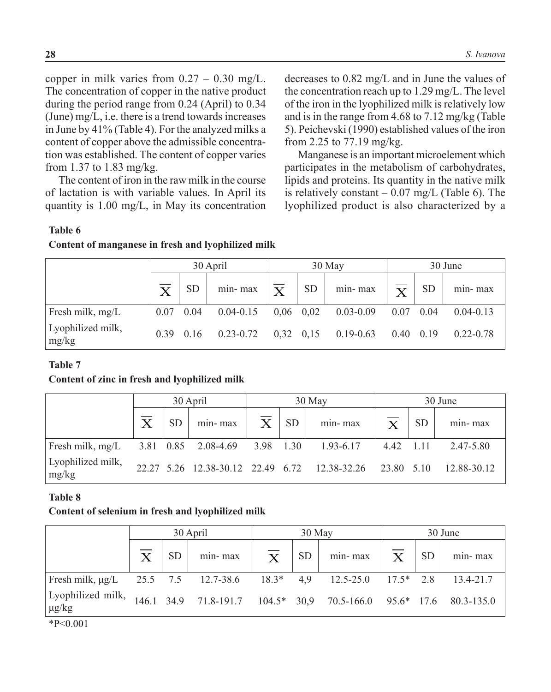copper in milk varies from  $0.27 - 0.30$  mg/L. The concentration of copper in the native product during the period range from 0.24 (April) to 0.34 (June) mg/L, i.e. there is a trend towards increases in June by 41% (Table 4). For the analyzed milks a content of copper above the admissible concentration was established. The content of copper varies from 1.37 to 1.83 mg/kg.

The content of iron in the raw milk in the course of lactation is with variable values. In April its quantity is 1.00 mg/L, in May its concentration decreases to 0.82 mg/L and in June the values of the concentration reach up to 1.29 mg/L. The level of the iron in the lyophilized milk is relatively low and is in the range from 4.68 to 7.12 mg/kg (Table 5). Peichevski (1990) established values of the iron from 2.25 to 77.19 mg/kg.

Manganese is an important microelement which participates in the metabolism of carbohydrates, lipids and proteins. Its quantity in the native milk is relatively constant  $-0.07$  mg/L (Table 6). The lyophilized product is also characterized by a

### **Table 6**

### **Content of manganese in fresh and lyophilized milk**

|                            |      |           | 30 April      |                         |           | 30 May        | 30 June                 |           |               |  |
|----------------------------|------|-----------|---------------|-------------------------|-----------|---------------|-------------------------|-----------|---------------|--|
|                            |      | <b>SD</b> | min-max       | $\overline{\mathbf{X}}$ | <b>SD</b> | min-max       | $\overline{\textbf{X}}$ | <b>SD</b> | min-max       |  |
| Fresh milk, mg/L           | 0.07 | 0.04      | $0.04 - 0.15$ | $0,06$ 0.02             |           | $0.03 - 0.09$ | 0.07                    | 0.04      | $0.04 - 0.13$ |  |
| Lyophilized milk,<br>mg/kg | 0.39 | 0.16      | $0.23 - 0.72$ | $0,32$ $0,15$           |           | $0.19 - 0.63$ | 0.40                    | 0.19      | $0.22 - 0.78$ |  |

### **Table 7**

### **Content of zinc in fresh and lyophilized milk**

|                            |                       |           | 30 April                      |              |           | 30 May                                                   | 30 June                 |           |             |  |
|----------------------------|-----------------------|-----------|-------------------------------|--------------|-----------|----------------------------------------------------------|-------------------------|-----------|-------------|--|
|                            | $\overline{\text{X}}$ | <b>SD</b> | $min-max$                     | $\mathbf{X}$ | <b>SD</b> | min-max                                                  | $\overline{\mathbf{X}}$ | <b>SD</b> | min-max     |  |
| Fresh milk, mg/L           |                       |           | 3.81 0.85 2.08-4.69 3.98 1.30 |              |           | 1.93-6.17                                                | 442 111                 |           | 2.47-5.80   |  |
| Lyophilized milk,<br>mg/kg |                       |           |                               |              |           | 22.27 5.26 12.38-30.12 22.49 6.72 12.38-32.26 23.80 5.10 |                         |           | 12.88-30.12 |  |

### **Table 8**

### **Content of selenium in fresh and lyophilized milk**

|                                                                        |                       |           | 30 April                                                           |                                    | 30 May    |         |              |           | 30 June   |  |  |  |
|------------------------------------------------------------------------|-----------------------|-----------|--------------------------------------------------------------------|------------------------------------|-----------|---------|--------------|-----------|-----------|--|--|--|
|                                                                        | $\overline{\text{X}}$ | <b>SD</b> | min-max                                                            | $\overline{\overline{\mathrm{X}}}$ | <b>SD</b> | min-max | $\mathbf{X}$ | <b>SD</b> | min-max   |  |  |  |
| Fresh milk, $\mu$ g/L 25.5 7.5 12.7-38.6 18.3* 4.9 12.5-25.0 17.5* 2.8 |                       |           |                                                                    |                                    |           |         |              |           | 13.4-21.7 |  |  |  |
| Lyophilized milk,<br>$\mu$ g/kg                                        |                       |           | 146.1 34.9 71.8-191.7 104.5* 30,9 70.5-166.0 95.6* 17.6 80.3-135.0 |                                    |           |         |              |           |           |  |  |  |

\*Р<0.001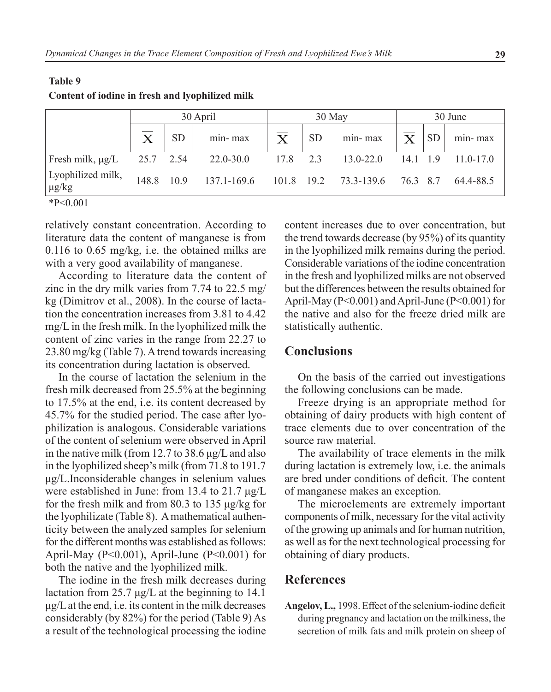|                                 |                       | 30 April  |               | 30 May                               |           |               |                       | 30 June   |               |  |  |
|---------------------------------|-----------------------|-----------|---------------|--------------------------------------|-----------|---------------|-----------------------|-----------|---------------|--|--|
|                                 | $\overline{\text{X}}$ | <b>SD</b> | min-max       | $\overline{\textnormal{\textbf{X}}}$ | <b>SD</b> | min-max       | $\overline{\text{X}}$ | <b>SD</b> | min-max       |  |  |
| Fresh milk, $\mu$ g/L           | 25.7 2.54             |           | $22.0 - 30.0$ | 17.8                                 | 2.3       | $13.0 - 22.0$ | 14.1                  | -19       | $11.0 - 17.0$ |  |  |
| Lyophilized milk,<br>$\mu$ g/kg | 148.8                 | 109       | 137.1-169.6   | 101.8                                | 19.2      | 73.3-139.6    | 76.3                  | 8.7       | 64.4-88.5     |  |  |
| $*P<0.001$                      |                       |           |               |                                      |           |               |                       |           |               |  |  |

## **Table 9 Content of iodine in fresh and lyophilized milk**

relatively constant concentration. According to literature data the content of manganese is from 0.116 to 0.65 mg/kg, i.e. the obtained milks are with a very good availability of manganese.

According to literature data the content of zinc in the dry milk varies from 7.74 to 22.5 mg/ kg (Dimitrov et al., 2008). In the course of lactation the concentration increases from 3.81 to 4.42 mg/L in the fresh milk. In the lyophilized milk the content of zinc varies in the range from 22.27 to 23.80 mg/kg (Table 7). A trend towards increasing its concentration during lactation is observed.

In the course of lactation the selenium in the fresh milk decreased from 25.5% at the beginning to 17.5% at the end, i.e. its content decreased by 45.7% for the studied period. The case after lyophilization is analogous. Considerable variations of the content of selenium were observed in April in the native milk (from 12.7 to 38.6 μg/L and also in the lyophilized sheep's milk (from 71.8 to 191.7 μg/L.Inconsiderable changes in selenium values were established in June: from 13.4 to 21.7 μg/L for the fresh milk and from 80.3 to 135 μg/kg for the lyophilizate (Table 8). A mathematical authenticity between the analyzed samples for selenium for the different months was established as follows: April-May (P<0.001), April-June (P<0.001) for both the native and the lyophilized milk.

The iodine in the fresh milk decreases during lactation from 25.7 μg/L at the beginning to 14.1 μg/L at the end, i.e. its content in the milk decreases considerably (by 82%) for the period (Table 9) As a result of the technological processing the iodine content increases due to over concentration, but the trend towards decrease (by 95%) of its quantity in the lyophilized milk remains during the period. Considerable variations of the iodine concentration in the fresh and lyophilized milks are not observed but the differences between the results obtained for April-May (P<0.001) and April-June (P<0.001) for the native and also for the freeze dried milk are statistically authentic.

## **Conclusions**

On the basis of the carried out investigations the following conclusions can be made.

Freeze drying is an appropriate method for obtaining of dairy products with high content of trace elements due to over concentration of the source raw material.

The availability of trace elements in the milk during lactation is extremely low, i.e. the animals are bred under conditions of deficit. The content of manganese makes an exception.

The microelements are extremely important components of milk, necessary for the vital activity of the growing up animals and for human nutrition, as well as for the next technological processing for obtaining of diary products.

## **References**

**Angelov, L.,** 1998. Effect of the selenium-iodine deficit during pregnancy and lactation on the milkiness, the secretion of milk fats and milk protein on sheep of